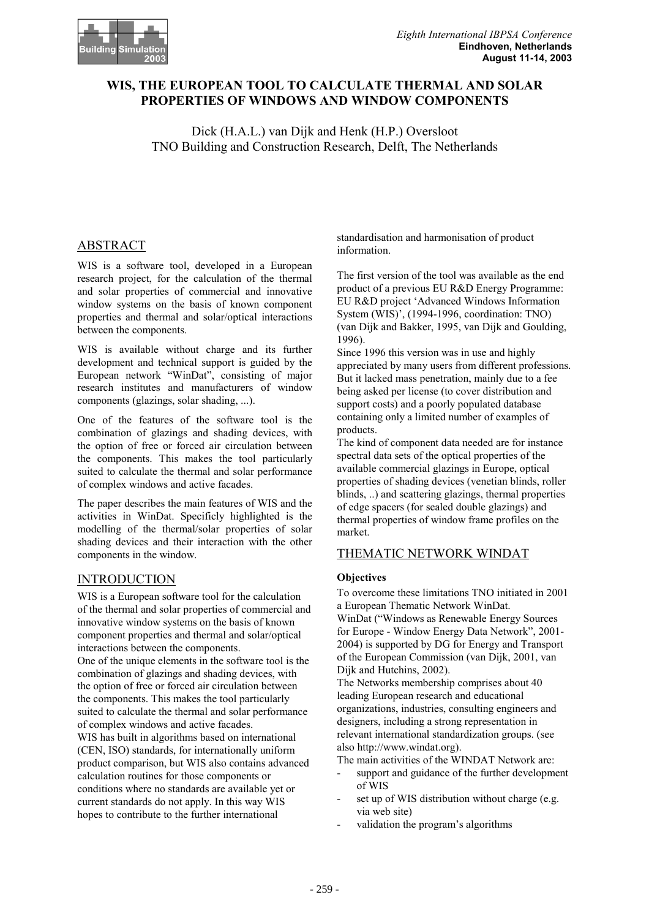# **WIS, THE EUROPEAN TOOL TO CALCULATE THERMAL AND SOLAR PROPERTIES OF WINDOWS AND WINDOW COMPONENTS**

Dick (H.A.L.) van Dijk and Henk (H.P.) Oversloot TNO Building and Construction Research, Delft, The Netherlands

# ABSTRACT

WIS is a software tool, developed in a European research project, for the calculation of the thermal and solar properties of commercial and innovative window systems on the basis of known component properties and thermal and solar/optical interactions between the components.

WIS is available without charge and its further development and technical support is guided by the European network "WinDat", consisting of major research institutes and manufacturers of window components (glazings, solar shading, ...).

One of the features of the software tool is the combination of glazings and shading devices, with the option of free or forced air circulation between the components. This makes the tool particularly suited to calculate the thermal and solar performance of complex windows and active facades.

The paper describes the main features of WIS and the activities in WinDat. Specificly highlighted is the modelling of the thermal/solar properties of solar shading devices and their interaction with the other components in the window.

# INTRODUCTION

WIS is a European software tool for the calculation of the thermal and solar properties of commercial and innovative window systems on the basis of known component properties and thermal and solar/optical interactions between the components. One of the unique elements in the software tool is the combination of glazings and shading devices, with the option of free or forced air circulation between the components. This makes the tool particularly suited to calculate the thermal and solar performance of complex windows and active facades. WIS has built in algorithms based on international (CEN, ISO) standards, for internationally uniform product comparison, but WIS also contains advanced calculation routines for those components or conditions where no standards are available yet or current standards do not apply. In this way WIS hopes to contribute to the further international

standardisation and harmonisation of product information.

The first version of the tool was available as the end product of a previous EU R&D Energy Programme: EU R&D project 'Advanced Windows Information System (WIS)', (1994-1996, coordination: TNO) (van Dijk and Bakker, 1995, van Dijk and Goulding, 1996).

Since 1996 this version was in use and highly appreciated by many users from different professions. But it lacked mass penetration, mainly due to a fee being asked per license (to cover distribution and support costs) and a poorly populated database containing only a limited number of examples of products.

The kind of component data needed are for instance spectral data sets of the optical properties of the available commercial glazings in Europe, optical properties of shading devices (venetian blinds, roller blinds, ..) and scattering glazings, thermal properties of edge spacers (for sealed double glazings) and thermal properties of window frame profiles on the market.

# THEMATIC NETWORK WINDAT

## **Objectives**

To overcome these limitations TNO initiated in 2001 a European Thematic Network WinDat.

WinDat ("Windows as Renewable Energy Sources for Europe - Window Energy Data Network", 2001- 2004) is supported by DG for Energy and Transport of the European Commission (van Dijk, 2001, van Dijk and Hutchins, 2002).

The Networks membership comprises about 40 leading European research and educational organizations, industries, consulting engineers and designers, including a strong representation in relevant international standardization groups. (see also http://www.windat.org).

The main activities of the WINDAT Network are:

- support and guidance of the further development of WIS
- set up of WIS distribution without charge (e.g. via web site)
- validation the program's algorithms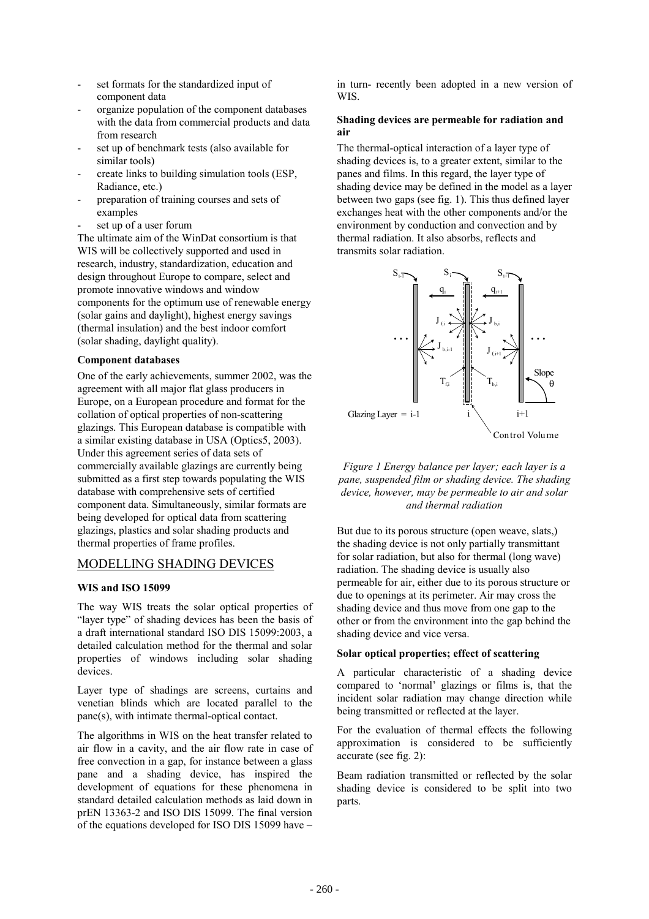- set formats for the standardized input of component data
- organize population of the component databases with the data from commercial products and data from research
- set up of benchmark tests (also available for similar tools)
- create links to building simulation tools (ESP, Radiance, etc.)
- preparation of training courses and sets of examples
- set up of a user forum

The ultimate aim of the WinDat consortium is that WIS will be collectively supported and used in research, industry, standardization, education and design throughout Europe to compare, select and promote innovative windows and window components for the optimum use of renewable energy (solar gains and daylight), highest energy savings (thermal insulation) and the best indoor comfort (solar shading, daylight quality).

## **Component databases**

One of the early achievements, summer 2002, was the agreement with all major flat glass producers in Europe, on a European procedure and format for the collation of optical properties of non-scattering glazings. This European database is compatible with a similar existing database in USA (Optics5, 2003). Under this agreement series of data sets of commercially available glazings are currently being submitted as a first step towards populating the WIS database with comprehensive sets of certified component data. Simultaneously, similar formats are being developed for optical data from scattering glazings, plastics and solar shading products and thermal properties of frame profiles.

# MODELLING SHADING DEVICES

## **WIS and ISO 15099**

The way WIS treats the solar optical properties of "layer type" of shading devices has been the basis of a draft international standard ISO DIS 15099:2003, a detailed calculation method for the thermal and solar properties of windows including solar shading devices.

Layer type of shadings are screens, curtains and venetian blinds which are located parallel to the pane(s), with intimate thermal-optical contact.

The algorithms in WIS on the heat transfer related to air flow in a cavity, and the air flow rate in case of free convection in a gap, for instance between a glass pane and a shading device, has inspired the development of equations for these phenomena in standard detailed calculation methods as laid down in prEN 13363-2 and ISO DIS 15099. The final version of the equations developed for ISO DIS 15099 have –

in turn- recently been adopted in a new version of WIS.

### **Shading devices are permeable for radiation and air**

The thermal-optical interaction of a layer type of shading devices is, to a greater extent, similar to the panes and films. In this regard, the layer type of shading device may be defined in the model as a layer between two gaps (see fig. 1). This thus defined layer exchanges heat with the other components and/or the environment by conduction and convection and by thermal radiation. It also absorbs, reflects and transmits solar radiation.



*Figure 1 Energy balance per layer; each layer is a pane, suspended film or shading device. The shading device, however, may be permeable to air and solar and thermal radiation*

But due to its porous structure (open weave, slats,) the shading device is not only partially transmittant for solar radiation, but also for thermal (long wave) radiation. The shading device is usually also permeable for air, either due to its porous structure or due to openings at its perimeter. Air may cross the shading device and thus move from one gap to the other or from the environment into the gap behind the shading device and vice versa.

### **Solar optical properties; effect of scattering**

A particular characteristic of a shading device compared to 'normal' glazings or films is, that the incident solar radiation may change direction while being transmitted or reflected at the layer.

For the evaluation of thermal effects the following approximation is considered to be sufficiently accurate (see fig. 2):

Beam radiation transmitted or reflected by the solar shading device is considered to be split into two parts.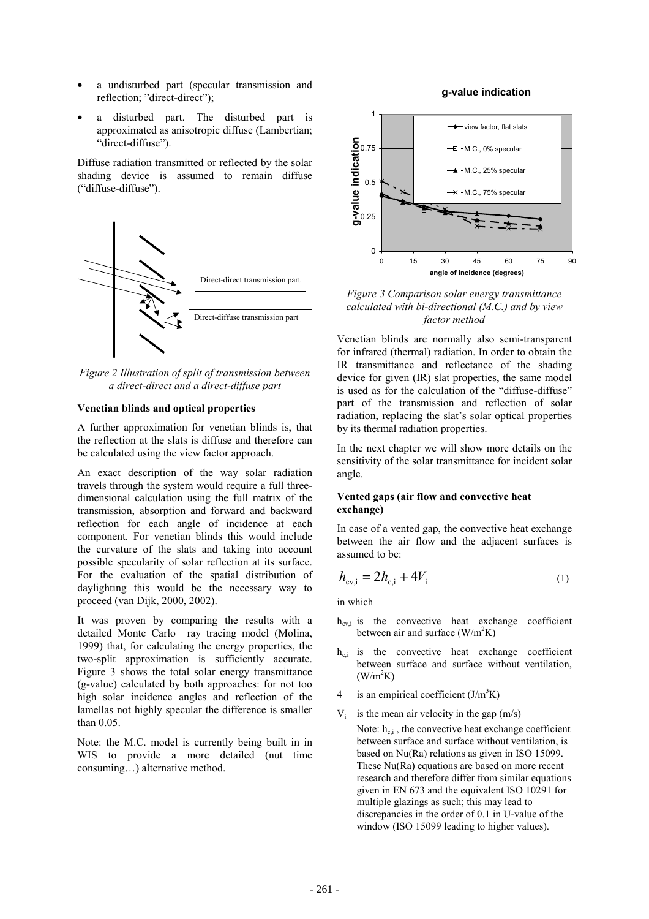- a undisturbed part (specular transmission and reflection; "direct-direct");
- a disturbed part. The disturbed part is approximated as anisotropic diffuse (Lambertian; "direct-diffuse").

Diffuse radiation transmitted or reflected by the solar shading device is assumed to remain diffuse ("diffuse-diffuse").



*Figure 2 Illustration of split of transmission between a direct-direct and a direct-diffuse part*

#### **Venetian blinds and optical properties**

A further approximation for venetian blinds is, that the reflection at the slats is diffuse and therefore can be calculated using the view factor approach.

An exact description of the way solar radiation travels through the system would require a full threedimensional calculation using the full matrix of the transmission, absorption and forward and backward reflection for each angle of incidence at each component. For venetian blinds this would include the curvature of the slats and taking into account possible specularity of solar reflection at its surface. For the evaluation of the spatial distribution of daylighting this would be the necessary way to proceed (van Dijk, 2000, 2002).

It was proven by comparing the results with a detailed Monte Carlo ray tracing model (Molina, 1999) that, for calculating the energy properties, the two-split approximation is sufficiently accurate. Figure 3 shows the total solar energy transmittance (g-value) calculated by both approaches: for not too high solar incidence angles and reflection of the lamellas not highly specular the difference is smaller than 0.05.

Note: the M.C. model is currently being built in in WIS to provide a more detailed (nut time consuming…) alternative method.

### **g-value indication**



*Figure 3 Comparison solar energy transmittance calculated with bi-directional (M.C.) and by view factor method*

Venetian blinds are normally also semi-transparent for infrared (thermal) radiation. In order to obtain the IR transmittance and reflectance of the shading device for given (IR) slat properties, the same model is used as for the calculation of the "diffuse-diffuse" part of the transmission and reflection of solar radiation, replacing the slat's solar optical properties by its thermal radiation properties.

In the next chapter we will show more details on the sensitivity of the solar transmittance for incident solar angle.

### **Vented gaps (air flow and convective heat exchange)**

In case of a vented gap, the convective heat exchange between the air flow and the adjacent surfaces is assumed to be:

$$
h_{\rm cv,i} = 2h_{\rm c,i} + 4V_{\rm i} \tag{1}
$$

in which

- $h_{cvi}$  is the convective heat exchange coefficient between air and surface  $(W/m^2K)$
- $h_{c,i}$  is the convective heat exchange coefficient between surface and surface without ventilation,  $(W/m<sup>2</sup>K)$
- 4 is an empirical coefficient  $(J/m^3K)$
- $V_i$  is the mean air velocity in the gap (m/s)

Note:  $h_{ci}$ , the convective heat exchange coefficient between surface and surface without ventilation, is based on Nu(Ra) relations as given in ISO 15099. These Nu(Ra) equations are based on more recent research and therefore differ from similar equations given in EN 673 and the equivalent ISO 10291 for multiple glazings as such; this may lead to discrepancies in the order of 0.1 in U-value of the window (ISO 15099 leading to higher values).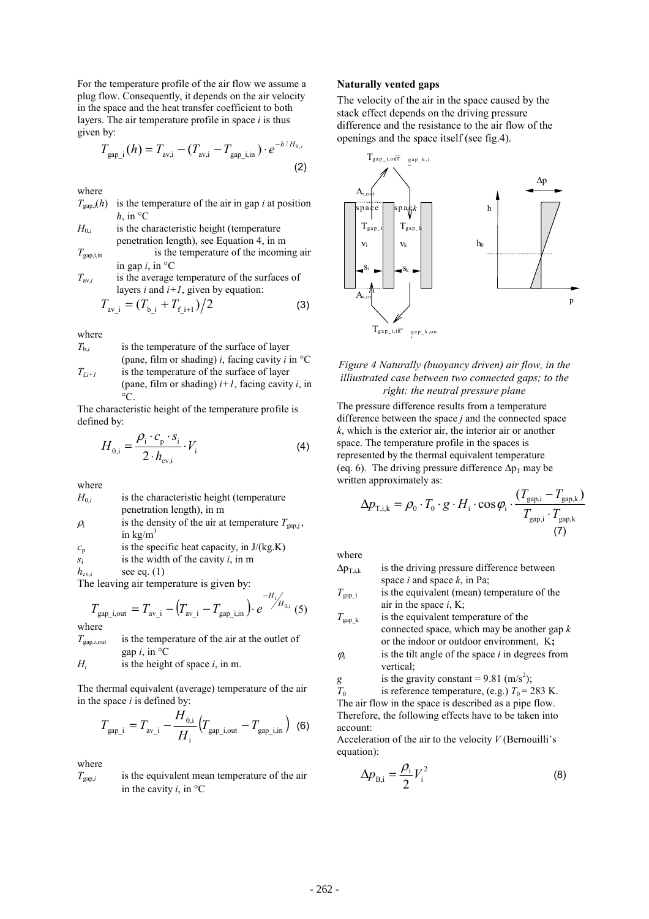For the temperature profile of the air flow we assume a plug flow. Consequently, it depends on the air velocity in the space and the heat transfer coefficient to both layers. The air temperature profile in space *i* is thus given by:

$$
T_{\text{gap}_i}(h) = T_{\text{av},i} - (T_{\text{av},i} - T_{\text{gap}_i,i}) \cdot e^{-h/H_{0,i}} \tag{2}
$$

where

| $T_{\text{gap,i}}(h)$ is the temperature of the air in gap <i>i</i> at position |
|---------------------------------------------------------------------------------|
| h, in $^{\circ}C$                                                               |

 $H_{0,i}$  is the characteristic height (temperature penetration length), see Equation 4, in m

$$
T_{\text{gap,i,in}}
$$
 is the temperature of the incoming air  
in gap *i*, in °C  
 $T$  is the average temperature of the surfaces of

*T*av,*i* is the average temperature of the surfaces of layers  $i$  and  $i+1$ , given by equation:

$$
T_{\rm av\_i} = (T_{\rm b\_i} + T_{\rm f\_i+1})/2 \tag{3}
$$

where

- $T_{b,i}$  is the temperature of the surface of layer (pane, film or shading) *i*, facing cavity *i* in °C  $T_{f,i+1}$  is the temperature of the surface of layer (pane, film or shading) *i+1*, facing cavity *i*, in
	- $^{\circ}C$ .

The characteristic height of the temperature profile is defined by:

$$
H_{0,i} = \frac{\rho_i \cdot c_p \cdot s_i}{2 \cdot h_{\text{cv},i}} \cdot V_i
$$
 (4)

where

- $H_{0i}$  is the characteristic height (temperature penetration length), in m  $\rho_i$ is the density of the air at temperature  $T_{\text{gap,i}}$ ,
- in  $kg/m<sup>3</sup>$
- $c_p$  is the specific heat capacity, in  $J/(kg.K)$
- *s*i is the width of the cavity *i*, in m
- $h_{\text{cvi}}$  see eq. (1)

The leaving air temperature is given by:

$$
T_{\text{gap\_i,out}} = T_{\text{av\_i}} - (T_{\text{av\_i}} - T_{\text{gap\_i,in}}) \cdot e^{-H_i / H_{0,i}} \tag{5}
$$

 $T_{\text{gan},i\text{ out}}$  is the temperature of the air at the outlet of gap  $i$ , in  $^{\circ}$ C

 $H_i$  is the height of space  $i$ , in m.

The thermal equivalent (average) temperature of the air in the space *i* is defined by:

$$
T_{\text{gap}_i} = T_{\text{av}_i} - \frac{H_{0,i}}{H_i} \left( T_{\text{gap}_i, \text{out}} - T_{\text{gap}_i, \text{in}} \right) (6)
$$

where

 $T_{\text{gap},i}$  is the equivalent mean temperature of the air in the cavity  $i$ , in  $\mathrm{C}$ 

#### **Naturally vented gaps**

The velocity of the air in the space caused by the stack effect depends on the driving pressure difference and the resistance to the air flow of the openings and the space itself (see fig.4).



### *Figure 4 Naturally (buoyancy driven) air flow, in the illiustrated case between two connected gaps; to the right: the neutral pressure plane*

The pressure difference results from a temperature difference between the space *j* and the connected space *k*, which is the exterior air, the interior air or another space. The temperature profile in the spaces is represented by the thermal equivalent temperature (eq. 6). The driving pressure difference  $\Delta p_T$  may be written approximately as:

$$
\Delta p_{\text{T},i,k} = \rho_0 \cdot T_0 \cdot g \cdot H_i \cdot \cos \varphi_i \cdot \frac{(T_{\text{gap},i} - T_{\text{gap},k})}{T_{\text{gap},i} \cdot T_{\text{gap},k}}
$$
\n(7)

where

$$
\Delta p_{T,i,k}
$$
 is the driving pressure difference between space *i* and space *k*, in Pa;

 $T_{\text{can}}$  is the equivalent (mean) temperature of the air in the space *i*, K;

 $T_{\text{gap }k}$  is the equivalent temperature of the connected space, which may be another gap *k* or the indoor or outdoor environment, K**;**

 $\varphi$ <sub>i</sub> is the tilt angle of the space *i* in degrees from vertical;

$$
g
$$
 is the gravity constant = 9.81 (m/s<sup>2</sup>);

 $T_0$  is reference temperature, (e.g.)  $T_0 = 283$  K. The air flow in the space is described as a pipe flow. Therefore, the following effects have to be taken into account:

Acceleration of the air to the velocity *V* (Bernouilli's equation):

$$
\Delta p_{\rm B,i} = \frac{\rho_{\rm i}}{2} V_{\rm i}^2 \tag{8}
$$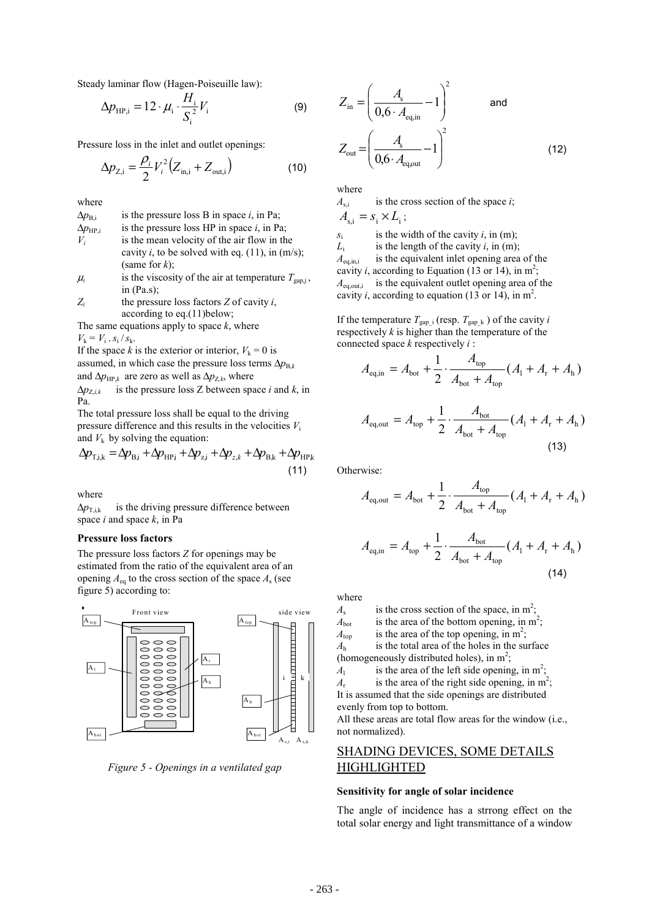Steady laminar flow (Hagen-Poiseuille law):

$$
\Delta p_{\rm HP,i} = 12 \cdot \mu_i \cdot \frac{H_i}{S_i^2} V_i \tag{9}
$$

Pressure loss in the inlet and outlet openings:

$$
\Delta p_{Z,i} = \frac{\rho_i}{2} V_i^2 (Z_{\text{in},i} + Z_{\text{out},i})
$$
 (10)

where

 $\Delta p_{\text{B,i}}$  is the pressure loss B in space *i*, in Pa;  $\Delta p_{\text{HP,i}}$  is the pressure loss HP in space *i*, in Pa;  $V_i$  is the mean velocity of the air flow in the cavity  $i$ , to be solved with eq.  $(11)$ , in  $(m/s)$ ; (same for *k*);

 $\mu_i$  is the viscosity of the air at temperature  $T_{\text{gap,i}}$ , in (Pa.s);

 $Z_i$  the pressure loss factors  $Z$  of cavity  $i$ , according to eq.(11)below;

The same equations apply to space *k*, where  $V_{k} = V_{i} \cdot s_{i} / s_{k}.$ 

If the space *k* is the exterior or interior,  $V_k = 0$  is assumed, in which case the pressure loss terms  $\Delta p_{B,k}$ and  $\Delta p_{HPk}$  are zero as well as  $\Delta p_{Z,k}$ , where  $\Delta p_{Z,i,k}$  is the pressure loss *Z* between space *i* and *k*, in

Pa.

The total pressure loss shall be equal to the driving pressure difference and this results in the velocities *V*<sup>i</sup> and  $V_k$  by solving the equation:

$$
\Delta p_{\text{T},i,k} = \Delta p_{\text{B},i} + \Delta p_{\text{HP},i} + \Delta p_{z,i} + \Delta p_{z,k} + \Delta p_{\text{B},k} + \Delta p_{\text{HP},k}
$$
\n(11)

where

 $\Delta p_{\text{T},ik}$  is the driving pressure difference between space *i* and space *k*, in Pa

#### **Pressure loss factors**

The pressure loss factors *Z* for openings may be estimated from the ratio of the equivalent area of an opening  $A_{eq}$  to the cross section of the space  $A_s$  (see figure 5) according to:



*Figure 5 - Openings in a ventilated gap* 

$$
Z_{\text{in}} = \left(\frac{A_{\text{s}}}{0.6 \cdot A_{\text{eq,in}}} - 1\right)^2 \quad \text{and} \quad Z_{\text{out}} = \left(\frac{A_{\text{s}}}{0.6 \cdot A_{\text{eq,out}}} - 1\right)^2 \quad (12)
$$

where

 $A_{si}$  is the cross section of the space *i*;

 $A_{\rm ci} = s_i \times L_i$ ;

*s*i is the width of the cavity *i*, in (m);  $L_i$ <br> $A_{\text{eq,in,i}}$  is the length of the cavity *i*, in (m); *A* is the equivalent inlet opening area of the cavity *i*, according to Equation (13 or 14), in  $m^2$ ;  $A_{\text{ea.out.i}}$  is the equivalent outlet opening area of the cavity *i*, according to equation (13 or 14), in  $m^2$ .

If the temperature  $T_{\text{gap}_i}$  (resp.  $T_{\text{gap}_k}$ ) of the cavity *i* respectively  $k$  is higher than the temperature of the connected space *k* respectively *i* :

$$
A_{\text{eq,in}} = A_{\text{bot}} + \frac{1}{2} \cdot \frac{A_{\text{top}}}{A_{\text{bot}} + A_{\text{top}}} (A_{1} + A_{r} + A_{h})
$$

$$
A_{\text{eq,out}} = A_{\text{top}} + \frac{1}{2} \cdot \frac{A_{\text{bot}}}{A_{\text{bot}} + A_{\text{top}}} (A_{\text{l}} + A_{\text{r}} + A_{\text{h}})
$$
\n(13)

Otherwise:

$$
A_{\text{eq,out}} = A_{\text{bot}} + \frac{1}{2} \cdot \frac{A_{\text{top}}}{A_{\text{bot}} + A_{\text{top}}} (A_{1} + A_{r} + A_{h})
$$

$$
A_{\text{eq,in}} = A_{\text{top}} + \frac{1}{2} \cdot \frac{A_{\text{bot}}}{A_{\text{bot}} + A_{\text{top}}} (A_{1} + A_{r} + A_{h})
$$
\n(14)

where

 $A_s$  is the cross section of the space, in m<sup>2</sup>;

 $A<sub>bot</sub>$  is the area of the bottom opening, in m<sup>2</sup>;

 $A_{\text{top}}$  is the area of the top opening, in m<sup>2</sup>;

 $A_{\text{top}}$  is the area of the top opening, in m<sup>-</sup>;<br> $A_{\text{h}}$  is the total area of the holes in the surface (homogeneously distributed holes), in  $m^2$ ;

*A*l is the area of the left side opening, in  $m^2$ ;

 $A_r$  is the area of the right side opening, in m<sup>2</sup>;

It is assumed that the side openings are distributed evenly from top to bottom.

All these areas are total flow areas for the window (i.e., not normalized).

# SHADING DEVICES, SOME DETAILS HIGHLIGHTED

#### **Sensitivity for angle of solar incidence**

The angle of incidence has a strrong effect on the total solar energy and light transmittance of a window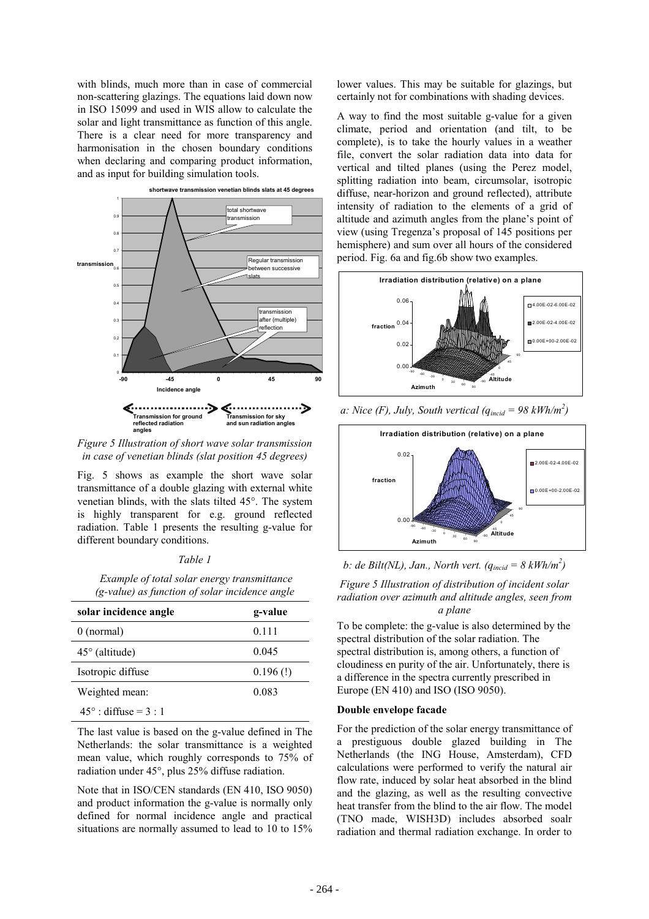with blinds, much more than in case of commercial non-scattering glazings. The equations laid down now in ISO 15099 and used in WIS allow to calculate the solar and light transmittance as function of this angle. There is a clear need for more transparency and harmonisation in the chosen boundary conditions when declaring and comparing product information, and as input for building simulation tools.



*Figure 5 Illustration of short wave solar transmission in case of venetian blinds (slat position 45 degrees)* 

Fig. 5 shows as example the short wave solar transmittance of a double glazing with external white venetian blinds, with the slats tilted 45°. The system is highly transparent for e.g. ground reflected radiation. Table 1 presents the resulting g-value for different boundary conditions.

*Table 1* 

 *Example of total solar energy transmittance (g-value) as function of solar incidence angle* 

| solar incidence angle        | g-value     |
|------------------------------|-------------|
| $0$ (normal)                 | 0.111       |
| $45^\circ$ (altitude)        | 0.045       |
| Isotropic diffuse            | $0.196$ (!) |
| Weighted mean:               | 0.083       |
| $45^\circ$ : diffuse = 3 : 1 |             |

The last value is based on the g-value defined in The Netherlands: the solar transmittance is a weighted mean value, which roughly corresponds to 75% of radiation under 45°, plus 25% diffuse radiation.

Note that in ISO/CEN standards (EN 410, ISO 9050) and product information the g-value is normally only defined for normal incidence angle and practical situations are normally assumed to lead to 10 to 15% lower values. This may be suitable for glazings, but certainly not for combinations with shading devices.

A way to find the most suitable g-value for a given climate, period and orientation (and tilt, to be complete), is to take the hourly values in a weather file, convert the solar radiation data into data for vertical and tilted planes (using the Perez model, splitting radiation into beam, circumsolar, isotropic diffuse, near-horizon and ground reflected), attribute intensity of radiation to the elements of a grid of altitude and azimuth angles from the plane's point of view (using Tregenza's proposal of 145 positions per hemisphere) and sum over all hours of the considered period. Fig. 6a and fig.6b show two examples.



*a: Nice (F), July, South vertical*  $(q_{\text{incid}} = 98 \text{ kWh/m}^2)$ 



*b: de Bilt(NL), Jan., North vert. (qincid = 8 kWh/m<sup>2</sup> )*

*Figure 5 Illustration of distribution of incident solar radiation over azimuth and altitude angles, seen from a plane*

To be complete: the g-value is also determined by the spectral distribution of the solar radiation. The spectral distribution is, among others, a function of cloudiness en purity of the air. Unfortunately, there is a difference in the spectra currently prescribed in Europe (EN 410) and ISO (ISO 9050).

#### **Double envelope facade**

For the prediction of the solar energy transmittance of a prestiguous double glazed building in The Netherlands (the ING House, Amsterdam), CFD calculations were performed to verify the natural air flow rate, induced by solar heat absorbed in the blind and the glazing, as well as the resulting convective heat transfer from the blind to the air flow. The model (TNO made, WISH3D) includes absorbed soalr radiation and thermal radiation exchange. In order to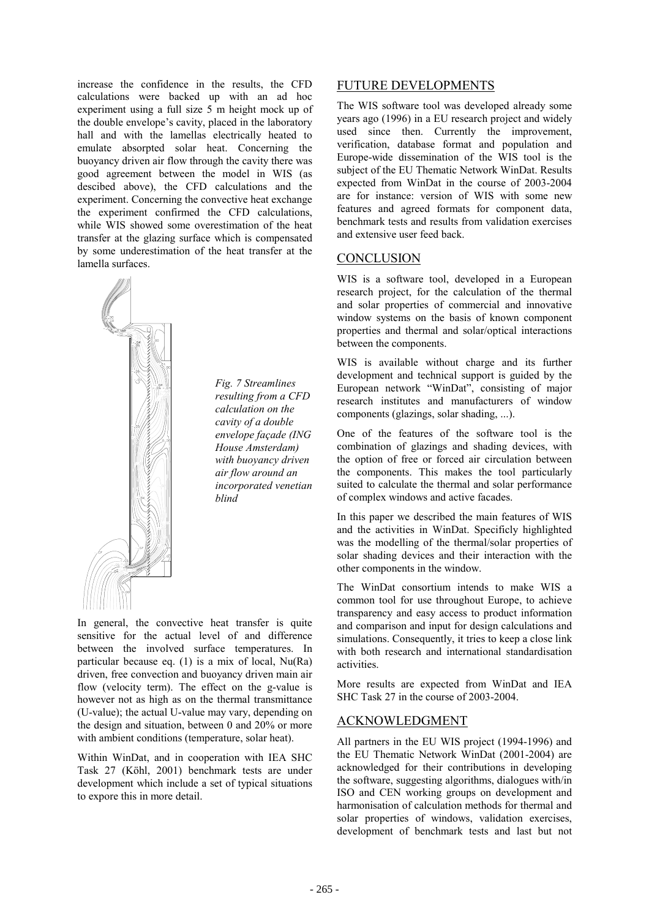increase the confidence in the results, the CFD calculations were backed up with an ad hoc experiment using a full size 5 m height mock up of the double envelope's cavity, placed in the laboratory hall and with the lamellas electrically heated to emulate absorpted solar heat. Concerning the buoyancy driven air flow through the cavity there was good agreement between the model in WIS (as descibed above), the CFD calculations and the experiment. Concerning the convective heat exchange the experiment confirmed the CFD calculations, while WIS showed some overestimation of the heat transfer at the glazing surface which is compensated by some underestimation of the heat transfer at the lamella surfaces.



*Fig. 7 Streamlines resulting from a CFD calculation on the cavity of a double envelope façade (ING House Amsterdam) with buoyancy driven air flow around an incorporated venetian blind* 

In general, the convective heat transfer is quite sensitive for the actual level of and difference between the involved surface temperatures. In particular because eq. (1) is a mix of local, Nu(Ra) driven, free convection and buoyancy driven main air flow (velocity term). The effect on the g-value is however not as high as on the thermal transmittance (U-value); the actual U-value may vary, depending on the design and situation, between 0 and 20% or more with ambient conditions (temperature, solar heat).

Within WinDat, and in cooperation with IEA SHC Task 27 (Köhl, 2001) benchmark tests are under development which include a set of typical situations to expore this in more detail.

## FUTURE DEVELOPMENTS

The WIS software tool was developed already some years ago (1996) in a EU research project and widely used since then. Currently the improvement, verification, database format and population and Europe-wide dissemination of the WIS tool is the subject of the EU Thematic Network WinDat. Results expected from WinDat in the course of 2003-2004 are for instance: version of WIS with some new features and agreed formats for component data, benchmark tests and results from validation exercises and extensive user feed back.

# **CONCLUSION**

WIS is a software tool, developed in a European research project, for the calculation of the thermal and solar properties of commercial and innovative window systems on the basis of known component properties and thermal and solar/optical interactions between the components.

WIS is available without charge and its further development and technical support is guided by the European network "WinDat", consisting of major research institutes and manufacturers of window components (glazings, solar shading, ...).

One of the features of the software tool is the combination of glazings and shading devices, with the option of free or forced air circulation between the components. This makes the tool particularly suited to calculate the thermal and solar performance of complex windows and active facades.

In this paper we described the main features of WIS and the activities in WinDat. Specificly highlighted was the modelling of the thermal/solar properties of solar shading devices and their interaction with the other components in the window.

The WinDat consortium intends to make WIS a common tool for use throughout Europe, to achieve transparency and easy access to product information and comparison and input for design calculations and simulations. Consequently, it tries to keep a close link with both research and international standardisation activities.

More results are expected from WinDat and IEA SHC Task 27 in the course of 2003-2004.

## ACKNOWLEDGMENT

All partners in the EU WIS project (1994-1996) and the EU Thematic Network WinDat (2001-2004) are acknowledged for their contributions in developing the software, suggesting algorithms, dialogues with/in ISO and CEN working groups on development and harmonisation of calculation methods for thermal and solar properties of windows, validation exercises, development of benchmark tests and last but not